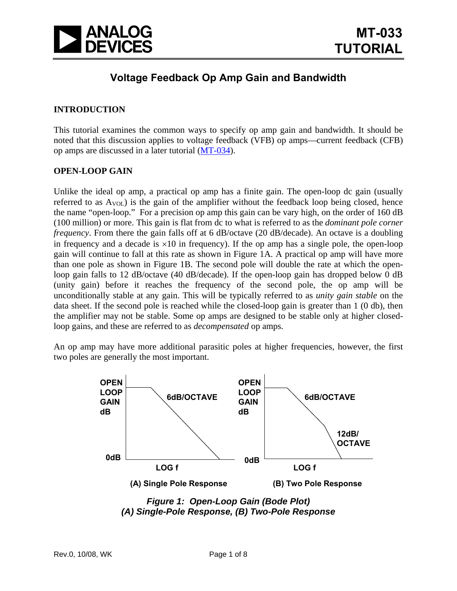

## **Voltage Feedback Op Amp Gain and Bandwidth**

## **INTRODUCTION**

This tutorial examines the common ways to specify op amp gain and bandwidth. It should be noted that this discussion applies to voltage feedback (VFB) op amps—current feedback (CFB) op amps are discussed in a later tutorial ([MT-034\)](http://www.analog.com/static/imported-files/tutorials/MT-034.pdf).

#### **OPEN-LOOP GAIN**

Unlike the ideal op amp, a practical op amp has a finite gain. The open-loop dc gain (usually referred to as  $A_{VOL}$ ) is the gain of the amplifier without the feedback loop being closed, hence the name "open-loop." For a precision op amp this gain can be vary high, on the order of 160 dB (100 million) or more. This gain is flat from dc to what is referred to as the *dominant pole corner frequency*. From there the gain falls off at 6 dB/octave (20 dB/decade). An octave is a doubling in frequency and a decade is  $\times 10$  in frequency). If the op amp has a single pole, the open-loop gain will continue to fall at this rate as shown in Figure 1A. A practical op amp will have more than one pole as shown in Figure 1B. The second pole will double the rate at which the openloop gain falls to 12 dB/octave (40 dB/decade). If the open-loop gain has dropped below 0 dB (unity gain) before it reaches the frequency of the second pole, the op amp will be unconditionally stable at any gain. This will be typically referred to as *unity gain stable* on the data sheet. If the second pole is reached while the closed-loop gain is greater than 1 (0 db), then the amplifier may not be stable. Some op amps are designed to be stable only at higher closedloop gains, and these are referred to as *decompensated* op amps.

An op amp may have more additional parasitic poles at higher frequencies, however, the first two poles are generally the most important.



*Figure 1: Open-Loop Gain (Bode Plot) (A) Single-Pole Response, (B) Two-Pole Response*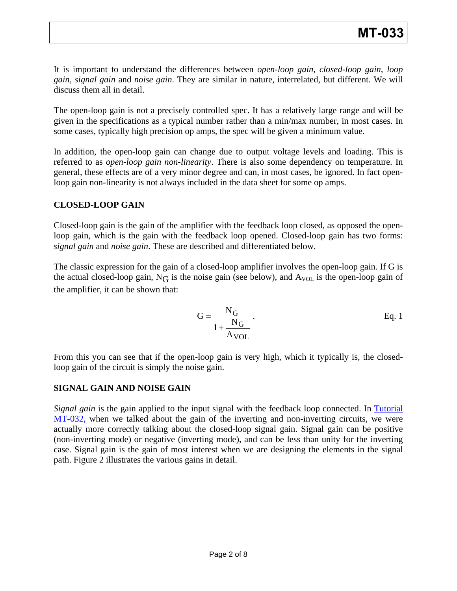It is important to understand the differences between *open-loop gain*, *closed-loop gain*, *loop gain*, *signal gain* and *noise gain*. They are similar in nature, interrelated, but different. We will discuss them all in detail.

The open-loop gain is not a precisely controlled spec. It has a relatively large range and will be given in the specifications as a typical number rather than a min/max number, in most cases. In some cases, typically high precision op amps, the spec will be given a minimum value.

In addition, the open-loop gain can change due to output voltage levels and loading. This is referred to as *open-loop gain non-linearity*. There is also some dependency on temperature. In general, these effects are of a very minor degree and can, in most cases, be ignored. In fact openloop gain non-linearity is not always included in the data sheet for some op amps.

## **CLOSED-LOOP GAIN**

Closed-loop gain is the gain of the amplifier with the feedback loop closed, as opposed the openloop gain, which is the gain with the feedback loop opened. Closed-loop gain has two forms: *signal gain* and *noise gain*. These are described and differentiated below.

The classic expression for the gain of a closed-loop amplifier involves the open-loop gain. If G is the actual closed-loop gain,  $N_G$  is the noise gain (see below), and  $A_{VOL}$  is the open-loop gain of the amplifier, it can be shown that:

$$
G = \frac{N_G}{1 + \frac{N_G}{A_{VOL}}}.
$$
 Eq. 1

From this you can see that if the open-loop gain is very high, which it typically is, the closedloop gain of the circuit is simply the noise gain.

## **SIGNAL GAIN AND NOISE GAIN**

*Signal gain* is the gain applied to the input signal with the feedback loop connected. In Tutorial [MT-032,](http://www.analog.com/static/imported-files/tutorials/MT-032.pdf) when we talked about the gain of the inverting and non-inverting circuits, we were actually more correctly talking about the closed-loop signal gain. Signal gain can be positive (non-inverting mode) or negative (inverting mode), and can be less than unity for the inverting case. Signal gain is the gain of most interest when we are designing the elements in the signal path. Figure 2 illustrates the various gains in detail.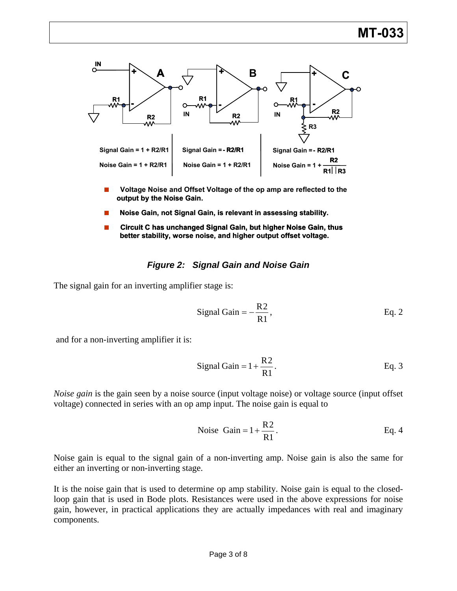

- **EXECTE Voltage Noise and Offset Voltage of the op amp are reflected to the output by the Noise Gain.**
- Noise Gain, not Signal Gain, is relevant in assessing stability.
- Circuit C has unchanged Signal Gain, but higher Noise Gain, thus **better stability, worse noise, and higher output offset voltage.**

#### *Figure 2: Signal Gain and Noise Gain*

The signal gain for an inverting amplifier stage is:

Signal Gain = 
$$
-\frac{R2}{R1}
$$
, Eq. 2

and for a non-inverting amplifier it is:

Signal Gain = 
$$
1 + \frac{R2}{R1}
$$
. Eq. 3

*Noise gain* is the gain seen by a noise source (input voltage noise) or voltage source (input offset voltage) connected in series with an op amp input. The noise gain is equal to

Noise Gain = 
$$
1 + \frac{R2}{R1}
$$
. Eq. 4

Noise gain is equal to the signal gain of a non-inverting amp. Noise gain is also the same for either an inverting or non-inverting stage.

It is the noise gain that is used to determine op amp stability. Noise gain is equal to the closedloop gain that is used in Bode plots. Resistances were used in the above expressions for noise gain, however, in practical applications they are actually impedances with real and imaginary components.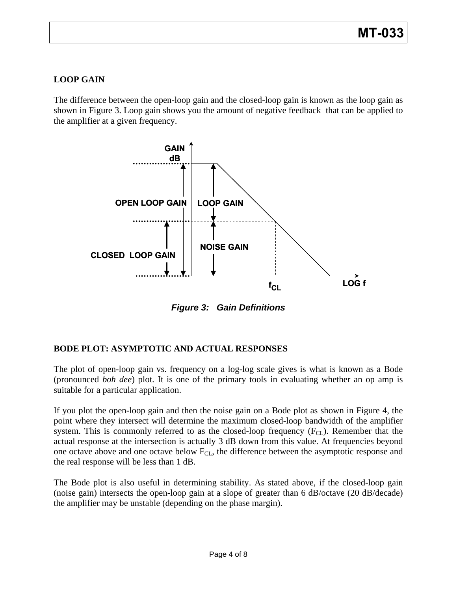## **LOOP GAIN**

The difference between the open-loop gain and the closed-loop gain is known as the loop gain as shown in Figure 3. Loop gain shows you the amount of negative feedback that can be applied to the amplifier at a given frequency.



*Figure 3: Gain Definitions* 

## **BODE PLOT: ASYMPTOTIC AND ACTUAL RESPONSES**

The plot of open-loop gain vs. frequency on a log-log scale gives is what is known as a Bode (pronounced *boh dee*) plot. It is one of the primary tools in evaluating whether an op amp is suitable for a particular application.

If you plot the open-loop gain and then the noise gain on a Bode plot as shown in Figure 4, the point where they intersect will determine the maximum closed-loop bandwidth of the amplifier system. This is commonly referred to as the closed-loop frequency  $(F<sub>CL</sub>)$ . Remember that the actual response at the intersection is actually 3 dB down from this value. At frequencies beyond one octave above and one octave below  $F_{CL}$ , the difference between the asymptotic response and the real response will be less than 1 dB.

The Bode plot is also useful in determining stability. As stated above, if the closed-loop gain (noise gain) intersects the open-loop gain at a slope of greater than 6 dB/octave (20 dB/decade) the amplifier may be unstable (depending on the phase margin).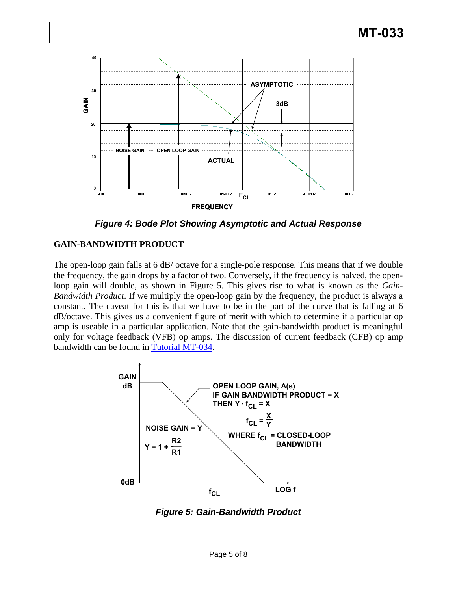

*Figure 4: Bode Plot Showing Asymptotic and Actual Response* 

## **GAIN-BANDWIDTH PRODUCT**

The open-loop gain falls at 6 dB/ octave for a single-pole response. This means that if we double the frequency, the gain drops by a factor of two. Conversely, if the frequency is halved, the openloop gain will double, as shown in Figure 5. This gives rise to what is known as the *Gain-Bandwidth Product*. If we multiply the open-loop gain by the frequency, the product is always a constant. The caveat for this is that we have to be in the part of the curve that is falling at 6 dB/octave. This gives us a convenient figure of merit with which to determine if a particular op amp is useable in a particular application. Note that the gain-bandwidth product is meaningful only for voltage feedback (VFB) op amps. The discussion of current feedback (CFB) op amp bandwidth can be found in [Tutorial MT-034.](http://www.analog.com/static/imported-files/tutorials/MT-034.pdf)



*Figure 5: Gain-Bandwidth Product*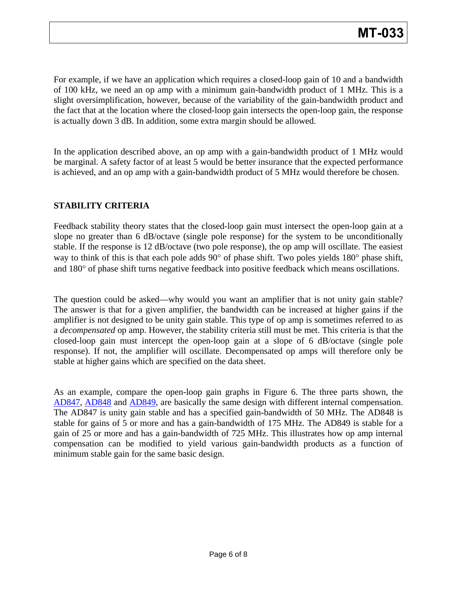For example, if we have an application which requires a closed-loop gain of 10 and a bandwidth of 100 kHz, we need an op amp with a minimum gain-bandwidth product of 1 MHz. This is a slight oversimplification, however, because of the variability of the gain-bandwidth product and the fact that at the location where the closed-loop gain intersects the open-loop gain, the response is actually down 3 dB. In addition, some extra margin should be allowed.

In the application described above, an op amp with a gain-bandwidth product of 1 MHz would be marginal. A safety factor of at least 5 would be better insurance that the expected performance is achieved, and an op amp with a gain-bandwidth product of 5 MHz would therefore be chosen.

## **STABILITY CRITERIA**

Feedback stability theory states that the closed-loop gain must intersect the open-loop gain at a slope no greater than 6 dB/octave (single pole response) for the system to be unconditionally stable. If the response is 12 dB/octave (two pole response), the op amp will oscillate. The easiest way to think of this is that each pole adds 90° of phase shift. Two poles yields 180° phase shift, and 180° of phase shift turns negative feedback into positive feedback which means oscillations.

The question could be asked—why would you want an amplifier that is not unity gain stable? The answer is that for a given amplifier, the bandwidth can be increased at higher gains if the amplifier is not designed to be unity gain stable. This type of op amp is sometimes referred to as a *decompensated* op amp. However, the stability criteria still must be met. This criteria is that the closed-loop gain must intercept the open-loop gain at a slope of 6 dB/octave (single pole response). If not, the amplifier will oscillate. Decompensated op amps will therefore only be stable at higher gains which are specified on the data sheet.

As an example, compare the open-loop gain graphs in Figure 6. The three parts shown, the [AD847](http://www.analog.com/en/other/militaryaerospace/ad847/products/product.html), [AD848](http://www.analog.com/en/other/militaryaerospace/ad848/products/product.html) and [AD849,](http://www.analog.com/static/imported-files/data_sheets_obsolete/269689921AD849.pdf) are basically the same design with different internal compensation. The AD847 is unity gain stable and has a specified gain-bandwidth of 50 MHz. The AD848 is stable for gains of 5 or more and has a gain-bandwidth of 175 MHz. The AD849 is stable for a gain of 25 or more and has a gain-bandwidth of 725 MHz. This illustrates how op amp internal compensation can be modified to yield various gain-bandwidth products as a function of minimum stable gain for the same basic design.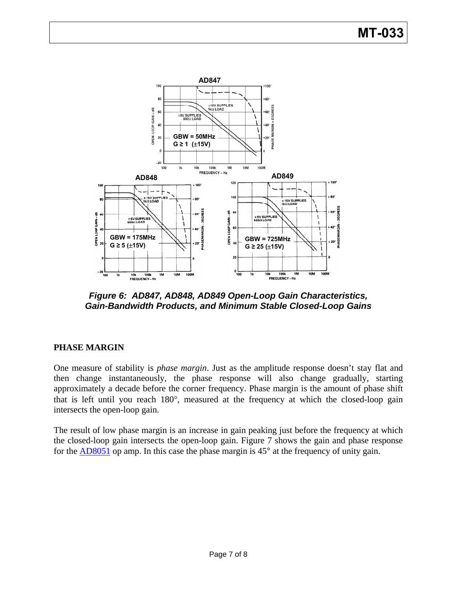# **MT-033**



*Figure 6: AD847, AD848, AD849 Open-Loop Gain Characteristics, Gain-Bandwidth Products, and Minimum Stable Closed-Loop Gains* 

## **PHASE MARGIN**

One measure of stability is *phase margin*. Just as the amplitude response doesn't stay flat and then change instantaneously, the phase response will also change gradually, starting approximately a decade before the corner frequency. Phase margin is the amount of phase shift that is left until you reach 180°, measured at the frequency at which the closed-loop gain intersects the open-loop gain.

The result of low phase margin is an increase in gain peaking just before the frequency at which the closed-loop gain intersects the open-loop gain. Figure 7 shows the gain and phase response for the [AD8051](http://www.analog.com/en/audiovideo-products/video-ampsbuffersfilters/ad8051/products/product.html) op amp. In this case the phase margin is 45° at the frequency of unity gain.